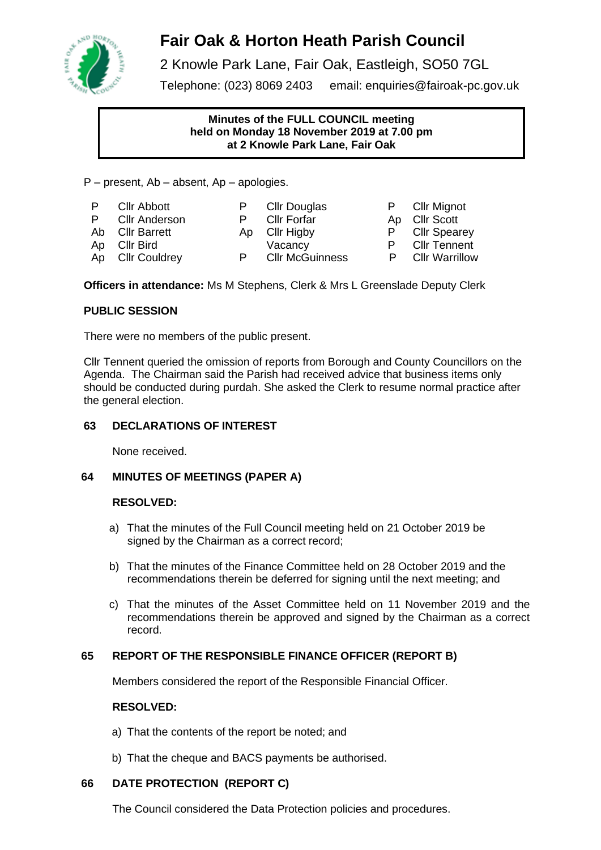

# **Fair Oak & Horton Heath Parish Council**

2 Knowle Park Lane, Fair Oak, Eastleigh, SO50 7GL

Telephone: (023) 8069 2403 email: [enquiries@fairoak-pc.gov.uk](mailto:enquiries@fairoak-pc.gov.uk)

# **Minutes of the FULL COUNCIL meeting held on Monday 18 November 2019 at 7.00 pm at 2 Knowle Park Lane, Fair Oak**

P – present, Ab – absent, Ap – apologies.

| P.<br>Ab | <b>Cllr Abbott</b><br>P Cllr Anderson<br><b>Cllr Barrett</b><br>Ap Cllr Bird<br>Ap Cllr Couldrey | P. | P Cllr Douglas<br><b>Cllr Forfar</b><br>Ap Cllr Higby<br>Vacancy<br><b>Cllr McGuinness</b> |  | P Cllr Mignot<br>Ap Cllr Scott<br>P Cllr Spearey<br><b>Cllr Tennent</b><br><b>Cllr Warrillow</b> |
|----------|--------------------------------------------------------------------------------------------------|----|--------------------------------------------------------------------------------------------|--|--------------------------------------------------------------------------------------------------|
|----------|--------------------------------------------------------------------------------------------------|----|--------------------------------------------------------------------------------------------|--|--------------------------------------------------------------------------------------------------|

**Officers in attendance:** Ms M Stephens, Clerk & Mrs L Greenslade Deputy Clerk

# **PUBLIC SESSION**

There were no members of the public present.

Cllr Tennent queried the omission of reports from Borough and County Councillors on the Agenda. The Chairman said the Parish had received advice that business items only should be conducted during purdah. She asked the Clerk to resume normal practice after the general election.

# **63 DECLARATIONS OF INTEREST**

None received.

# **64 MINUTES OF MEETINGS (PAPER A)**

# **RESOLVED:**

- a) That the minutes of the Full Council meeting held on 21 October 2019 be signed by the Chairman as a correct record;
- b) That the minutes of the Finance Committee held on 28 October 2019 and the recommendations therein be deferred for signing until the next meeting; and
- c) That the minutes of the Asset Committee held on 11 November 2019 and the recommendations therein be approved and signed by the Chairman as a correct record.

# **65 REPORT OF THE RESPONSIBLE FINANCE OFFICER (REPORT B)**

Members considered the report of the Responsible Financial Officer.

# **RESOLVED:**

- a) That the contents of the report be noted; and
- b) That the cheque and BACS payments be authorised.

# **66 DATE PROTECTION (REPORT C)**

The Council considered the Data Protection policies and procedures.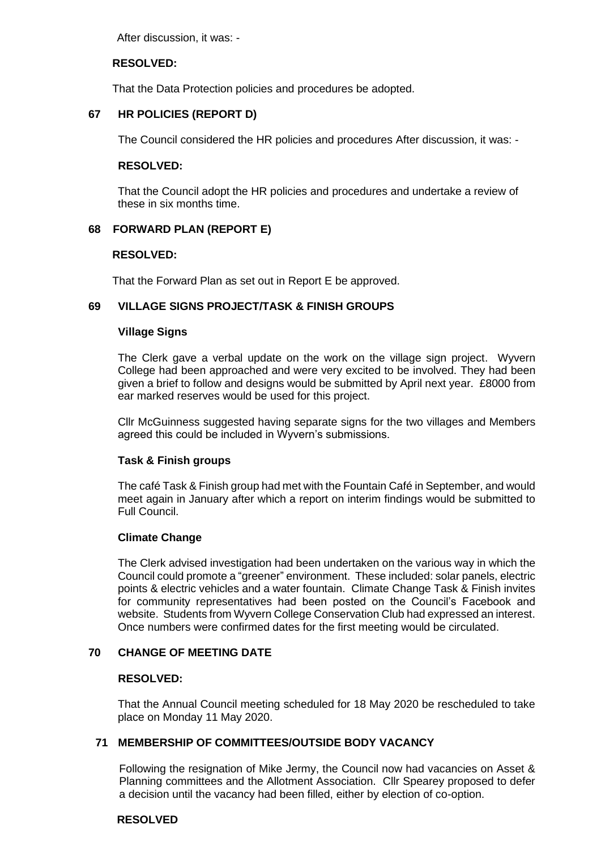After discussion, it was: -

## **RESOLVED:**

That the Data Protection policies and procedures be adopted.

## **67 HR POLICIES (REPORT D)**

The Council considered the HR policies and procedures After discussion, it was: -

#### **RESOLVED:**

That the Council adopt the HR policies and procedures and undertake a review of these in six months time.

## **68 FORWARD PLAN (REPORT E)**

#### **RESOLVED:**

That the Forward Plan as set out in Report E be approved.

## **69 VILLAGE SIGNS PROJECT/TASK & FINISH GROUPS**

#### **Village Signs**

The Clerk gave a verbal update on the work on the village sign project. Wyvern College had been approached and were very excited to be involved. They had been given a brief to follow and designs would be submitted by April next year. £8000 from ear marked reserves would be used for this project.

Cllr McGuinness suggested having separate signs for the two villages and Members agreed this could be included in Wyvern's submissions.

## **Task & Finish groups**

The café Task & Finish group had met with the Fountain Café in September, and would meet again in January after which a report on interim findings would be submitted to Full Council.

## **Climate Change**

The Clerk advised investigation had been undertaken on the various way in which the Council could promote a "greener" environment. These included: solar panels, electric points & electric vehicles and a water fountain. Climate Change Task & Finish invites for community representatives had been posted on the Council's Facebook and website. Students from Wyvern College Conservation Club had expressed an interest. Once numbers were confirmed dates for the first meeting would be circulated.

## **70 CHANGE OF MEETING DATE**

#### **RESOLVED:**

That the Annual Council meeting scheduled for 18 May 2020 be rescheduled to take place on Monday 11 May 2020.

## **71 MEMBERSHIP OF COMMITTEES/OUTSIDE BODY VACANCY**

 Following the resignation of Mike Jermy, the Council now had vacancies on Asset & Planning committees and the Allotment Association. Cllr Spearey proposed to defer a decision until the vacancy had been filled, either by election of co-option.

#### **RESOLVED**